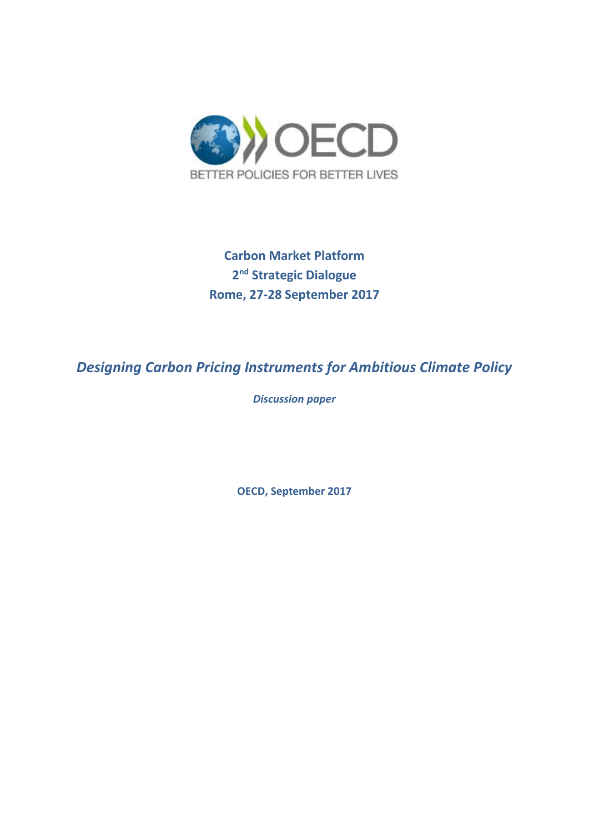

**Carbon Market Platform 2 nd Strategic Dialogue Rome, 27-28 September 2017**

*Designing Carbon Pricing Instruments for Ambitious Climate Policy*

*Discussion paper* 

**OECD, September 2017**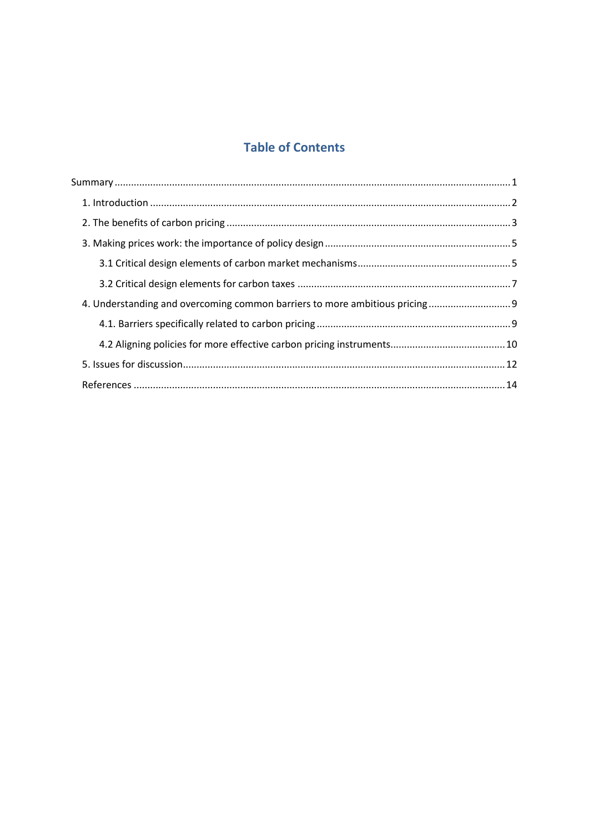# **Table of Contents**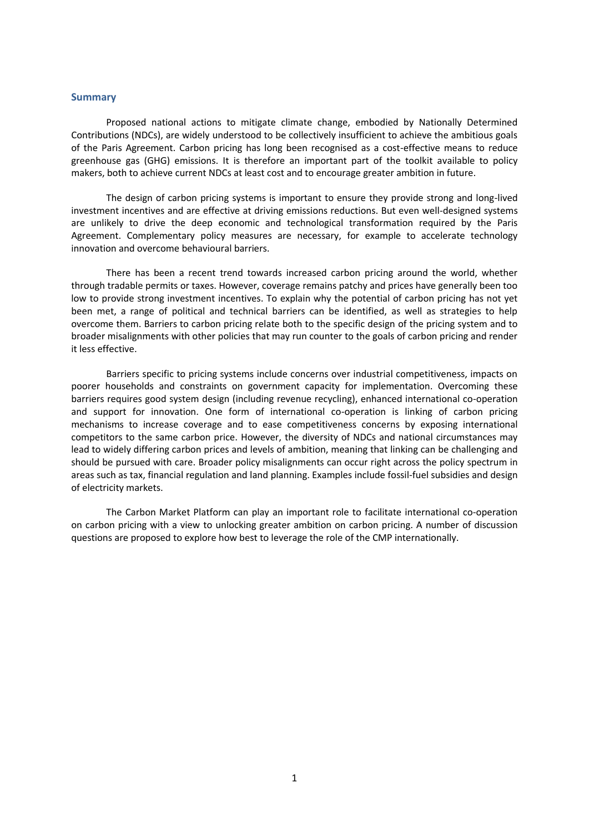#### <span id="page-2-0"></span>**Summary**

Proposed national actions to mitigate climate change, embodied by Nationally Determined Contributions (NDCs), are widely understood to be collectively insufficient to achieve the ambitious goals of the Paris Agreement. Carbon pricing has long been recognised as a cost-effective means to reduce greenhouse gas (GHG) emissions. It is therefore an important part of the toolkit available to policy makers, both to achieve current NDCs at least cost and to encourage greater ambition in future.

The design of carbon pricing systems is important to ensure they provide strong and long-lived investment incentives and are effective at driving emissions reductions. But even well-designed systems are unlikely to drive the deep economic and technological transformation required by the Paris Agreement. Complementary policy measures are necessary, for example to accelerate technology innovation and overcome behavioural barriers.

There has been a recent trend towards increased carbon pricing around the world, whether through tradable permits or taxes. However, coverage remains patchy and prices have generally been too low to provide strong investment incentives. To explain why the potential of carbon pricing has not yet been met, a range of political and technical barriers can be identified, as well as strategies to help overcome them. Barriers to carbon pricing relate both to the specific design of the pricing system and to broader misalignments with other policies that may run counter to the goals of carbon pricing and render it less effective.

Barriers specific to pricing systems include concerns over industrial competitiveness, impacts on poorer households and constraints on government capacity for implementation. Overcoming these barriers requires good system design (including revenue recycling), enhanced international co-operation and support for innovation. One form of international co-operation is linking of carbon pricing mechanisms to increase coverage and to ease competitiveness concerns by exposing international competitors to the same carbon price. However, the diversity of NDCs and national circumstances may lead to widely differing carbon prices and levels of ambition, meaning that linking can be challenging and should be pursued with care. Broader policy misalignments can occur right across the policy spectrum in areas such as tax, financial regulation and land planning. Examples include fossil-fuel subsidies and design of electricity markets.

The Carbon Market Platform can play an important role to facilitate international co-operation on carbon pricing with a view to unlocking greater ambition on carbon pricing. A number of discussion questions are proposed to explore how best to leverage the role of the CMP internationally.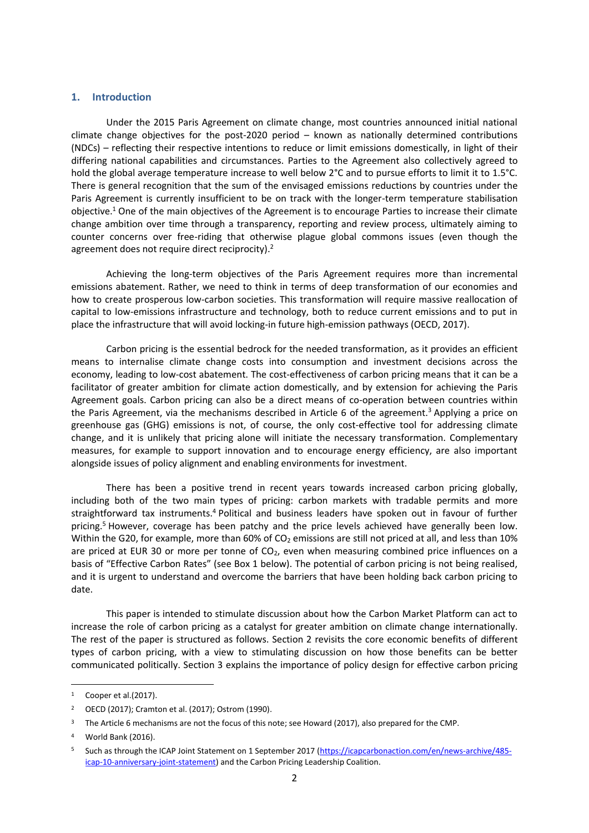#### <span id="page-3-0"></span>**1. Introduction**

Under the 2015 Paris Agreement on climate change, most countries announced initial national climate change objectives for the post-2020 period – known as nationally determined contributions (NDCs) – reflecting their respective intentions to reduce or limit emissions domestically, in light of their differing national capabilities and circumstances. Parties to the Agreement also collectively agreed to hold the global average temperature increase to well below 2°C and to pursue efforts to limit it to 1.5°C. There is general recognition that the sum of the envisaged emissions reductions by countries under the Paris Agreement is currently insufficient to be on track with the longer-term temperature stabilisation objective. <sup>1</sup> One of the main objectives of the Agreement is to encourage Parties to increase their climate change ambition over time through a transparency, reporting and review process, ultimately aiming to counter concerns over free-riding that otherwise plague global commons issues (even though the agreement does not require direct reciprocity).<sup>2</sup>

Achieving the long-term objectives of the Paris Agreement requires more than incremental emissions abatement. Rather, we need to think in terms of deep transformation of our economies and how to create prosperous low-carbon societies. This transformation will require massive reallocation of capital to low-emissions infrastructure and technology, both to reduce current emissions and to put in place the infrastructure that will avoid locking-in future high-emission pathways (OECD, 2017).

Carbon pricing is the essential bedrock for the needed transformation, as it provides an efficient means to internalise climate change costs into consumption and investment decisions across the economy, leading to low-cost abatement. The cost-effectiveness of carbon pricing means that it can be a facilitator of greater ambition for climate action domestically, and by extension for achieving the Paris Agreement goals. Carbon pricing can also be a direct means of co-operation between countries within the Paris Agreement, via the mechanisms described in Article 6 of the agreement.<sup>3</sup> Applying a price on greenhouse gas (GHG) emissions is not, of course, the only cost-effective tool for addressing climate change, and it is unlikely that pricing alone will initiate the necessary transformation. Complementary measures, for example to support innovation and to encourage energy efficiency, are also important alongside issues of policy alignment and enabling environments for investment.

There has been a positive trend in recent years towards increased carbon pricing globally, including both of the two main types of pricing: carbon markets with tradable permits and more straightforward tax instruments.<sup>4</sup> Political and business leaders have spoken out in favour of further pricing.<sup>5</sup> However, coverage has been patchy and the price levels achieved have generally been low. Within the G20, for example, more than 60% of  $CO<sub>2</sub>$  emissions are still not priced at all, and less than 10% are priced at EUR 30 or more per tonne of CO<sub>2</sub>, even when measuring combined price influences on a basis of "Effective Carbon Rates" (see Box 1 below). The potential of carbon pricing is not being realised, and it is urgent to understand and overcome the barriers that have been holding back carbon pricing to date.

This paper is intended to stimulate discussion about how the Carbon Market Platform can act to increase the role of carbon pricing as a catalyst for greater ambition on climate change internationally. The rest of the paper is structured as follows. Section 2 revisits the core economic benefits of different types of carbon pricing, with a view to stimulating discussion on how those benefits can be better communicated politically. Section 3 explains the importance of policy design for effective carbon pricing

<sup>1</sup> Cooper et al.(2017).

<sup>2</sup> OECD (2017); Cramton et al. (2017); Ostrom (1990).

<sup>&</sup>lt;sup>3</sup> The Article 6 mechanisms are not the focus of this note; see Howard (2017), also prepared for the CMP.

World Bank (2016).

<sup>5</sup> Such as through the ICAP Joint Statement on 1 September 2017 [\(https://icapcarbonaction.com/en/news-archive/485](https://icapcarbonaction.com/en/news-archive/485-icap-10-anniversary-joint-statement) [icap-10-anniversary-joint-statement\)](https://icapcarbonaction.com/en/news-archive/485-icap-10-anniversary-joint-statement) and the Carbon Pricing Leadership Coalition.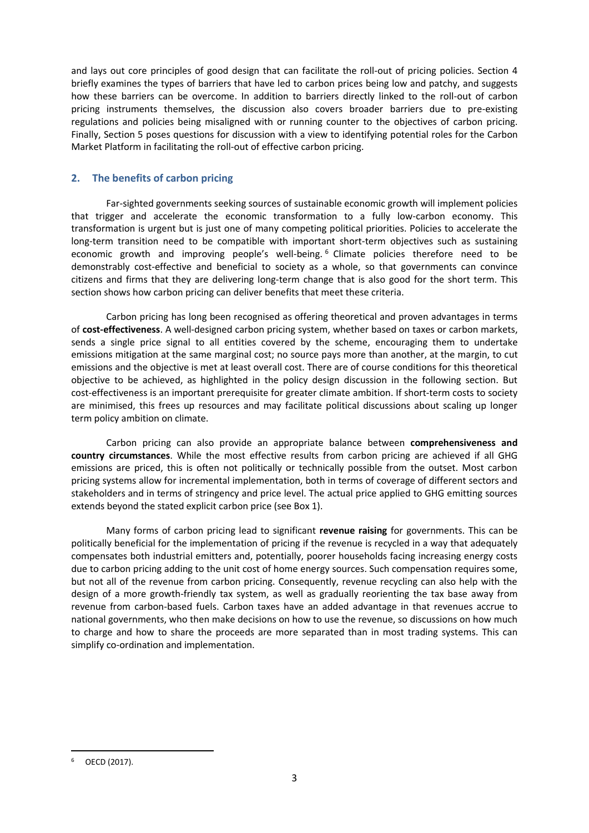and lays out core principles of good design that can facilitate the roll-out of pricing policies. Section 4 briefly examines the types of barriers that have led to carbon prices being low and patchy, and suggests how these barriers can be overcome. In addition to barriers directly linked to the roll-out of carbon pricing instruments themselves, the discussion also covers broader barriers due to pre-existing regulations and policies being misaligned with or running counter to the objectives of carbon pricing. Finally, Section 5 poses questions for discussion with a view to identifying potential roles for the Carbon Market Platform in facilitating the roll-out of effective carbon pricing.

## <span id="page-4-0"></span>**2. The benefits of carbon pricing**

Far-sighted governments seeking sources of sustainable economic growth will implement policies that trigger and accelerate the economic transformation to a fully low-carbon economy. This transformation is urgent but is just one of many competing political priorities. Policies to accelerate the long-term transition need to be compatible with important short-term objectives such as sustaining economic growth and improving people's well-being.<sup>6</sup> Climate policies therefore need to be demonstrably cost-effective and beneficial to society as a whole, so that governments can convince citizens and firms that they are delivering long-term change that is also good for the short term. This section shows how carbon pricing can deliver benefits that meet these criteria.

Carbon pricing has long been recognised as offering theoretical and proven advantages in terms of **cost-effectiveness**. A well-designed carbon pricing system, whether based on taxes or carbon markets, sends a single price signal to all entities covered by the scheme, encouraging them to undertake emissions mitigation at the same marginal cost; no source pays more than another, at the margin, to cut emissions and the objective is met at least overall cost. There are of course conditions for this theoretical objective to be achieved, as highlighted in the policy design discussion in the following section. But cost-effectiveness is an important prerequisite for greater climate ambition. If short-term costs to society are minimised, this frees up resources and may facilitate political discussions about scaling up longer term policy ambition on climate.

Carbon pricing can also provide an appropriate balance between **comprehensiveness and country circumstances**. While the most effective results from carbon pricing are achieved if all GHG emissions are priced, this is often not politically or technically possible from the outset. Most carbon pricing systems allow for incremental implementation, both in terms of coverage of different sectors and stakeholders and in terms of stringency and price level. The actual price applied to GHG emitting sources extends beyond the stated explicit carbon price (see Box 1).

Many forms of carbon pricing lead to significant **revenue raising** for governments. This can be politically beneficial for the implementation of pricing if the revenue is recycled in a way that adequately compensates both industrial emitters and, potentially, poorer households facing increasing energy costs due to carbon pricing adding to the unit cost of home energy sources. Such compensation requires some, but not all of the revenue from carbon pricing. Consequently, revenue recycling can also help with the design of a more growth-friendly tax system, as well as gradually reorienting the tax base away from revenue from carbon-based fuels. Carbon taxes have an added advantage in that revenues accrue to national governments, who then make decisions on how to use the revenue, so discussions on how much to charge and how to share the proceeds are more separated than in most trading systems. This can simplify co-ordination and implementation.

<sup>1</sup> OECD (2017).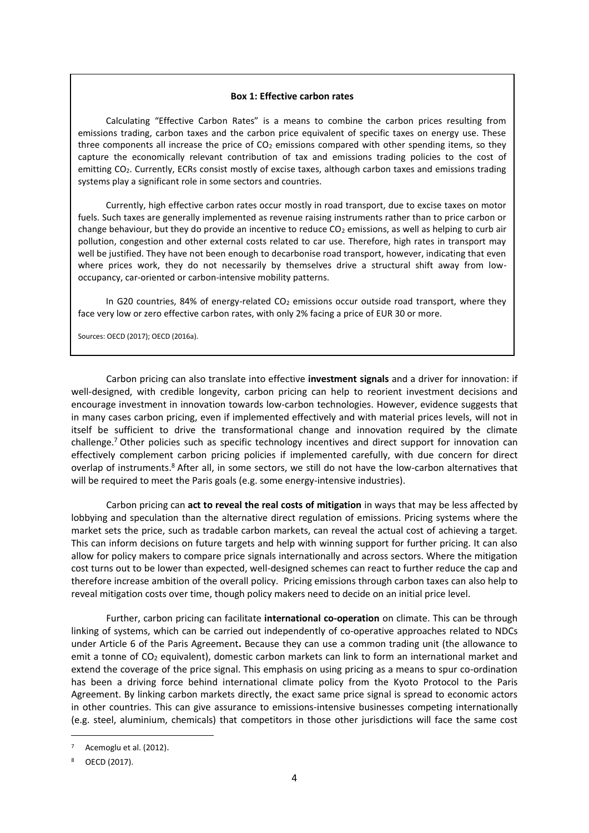#### **Box 1: Effective carbon rates**

Calculating "Effective Carbon Rates" is a means to combine the carbon prices resulting from emissions trading, carbon taxes and the carbon price equivalent of specific taxes on energy use. These three components all increase the price of CO<sub>2</sub> emissions compared with other spending items, so they capture the economically relevant contribution of tax and emissions trading policies to the cost of emitting CO2. Currently, ECRs consist mostly of excise taxes, although carbon taxes and emissions trading systems play a significant role in some sectors and countries.

Currently, high effective carbon rates occur mostly in road transport, due to excise taxes on motor fuels. Such taxes are generally implemented as revenue raising instruments rather than to price carbon or change behaviour, but they do provide an incentive to reduce CO<sub>2</sub> emissions, as well as helping to curb air pollution, congestion and other external costs related to car use. Therefore, high rates in transport may well be justified. They have not been enough to decarbonise road transport, however, indicating that even where prices work, they do not necessarily by themselves drive a structural shift away from lowoccupancy, car-oriented or carbon-intensive mobility patterns.

In G20 countries, 84% of energy-related CO<sub>2</sub> emissions occur outside road transport, where they face very low or zero effective carbon rates, with only 2% facing a price of EUR 30 or more.

Sources: OECD (2017); OECD (2016a).

Carbon pricing can also translate into effective **investment signals** and a driver for innovation: if well-designed, with credible longevity, carbon pricing can help to reorient investment decisions and encourage investment in innovation towards low-carbon technologies. However, evidence suggests that in many cases carbon pricing, even if implemented effectively and with material prices levels, will not in itself be sufficient to drive the transformational change and innovation required by the climate challenge.<sup>7</sup> Other policies such as specific technology incentives and direct support for innovation can effectively complement carbon pricing policies if implemented carefully, with due concern for direct overlap of instruments.<sup>8</sup> After all, in some sectors, we still do not have the low-carbon alternatives that will be required to meet the Paris goals (e.g. some energy-intensive industries).

Carbon pricing can **act to reveal the real costs of mitigation** in ways that may be less affected by lobbying and speculation than the alternative direct regulation of emissions. Pricing systems where the market sets the price, such as tradable carbon markets, can reveal the actual cost of achieving a target. This can inform decisions on future targets and help with winning support for further pricing. It can also allow for policy makers to compare price signals internationally and across sectors. Where the mitigation cost turns out to be lower than expected, well-designed schemes can react to further reduce the cap and therefore increase ambition of the overall policy. Pricing emissions through carbon taxes can also help to reveal mitigation costs over time, though policy makers need to decide on an initial price level.

Further, carbon pricing can facilitate **international co-operation** on climate. This can be through linking of systems, which can be carried out independently of co-operative approaches related to NDCs under Article 6 of the Paris Agreement**.** Because they can use a common trading unit (the allowance to emit a tonne of  $CO<sub>2</sub>$  equivalent), domestic carbon markets can link to form an international market and extend the coverage of the price signal. This emphasis on using pricing as a means to spur co-ordination has been a driving force behind international climate policy from the Kyoto Protocol to the Paris Agreement. By linking carbon markets directly, the exact same price signal is spread to economic actors in other countries. This can give assurance to emissions-intensive businesses competing internationally (e.g. steel, aluminium, chemicals) that competitors in those other jurisdictions will face the same cost

Acemoglu et al. (2012).

<sup>8</sup> OECD (2017).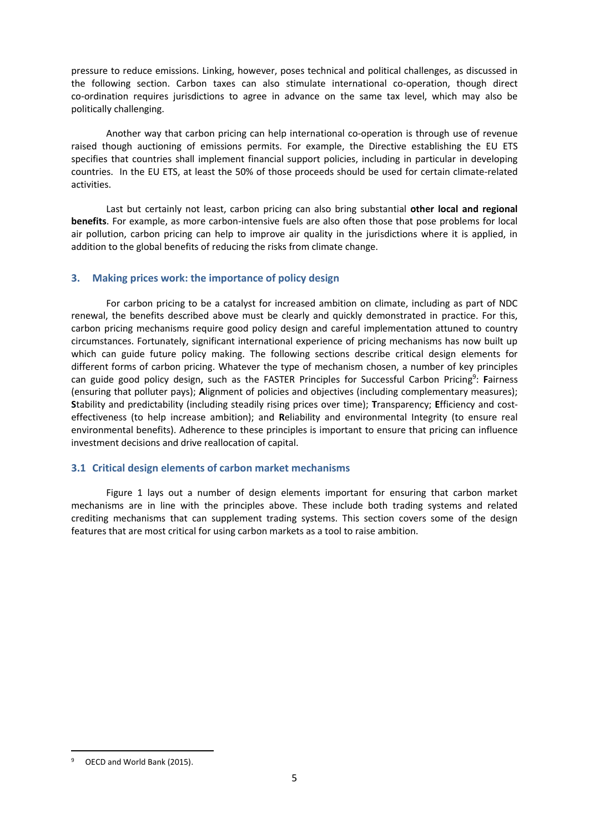pressure to reduce emissions. Linking, however, poses technical and political challenges, as discussed in the following section. Carbon taxes can also stimulate international co-operation, though direct co-ordination requires jurisdictions to agree in advance on the same tax level, which may also be politically challenging.

Another way that carbon pricing can help international co-operation is through use of revenue raised though auctioning of emissions permits. For example, the Directive establishing the EU ETS specifies that countries shall implement financial support policies, including in particular in developing countries. In the EU ETS, at least the 50% of those proceeds should be used for certain climate-related activities.

Last but certainly not least, carbon pricing can also bring substantial **other local and regional benefits**. For example, as more carbon-intensive fuels are also often those that pose problems for local air pollution, carbon pricing can help to improve air quality in the jurisdictions where it is applied, in addition to the global benefits of reducing the risks from climate change.

## <span id="page-6-0"></span>**3. Making prices work: the importance of policy design**

For carbon pricing to be a catalyst for increased ambition on climate, including as part of NDC renewal, the benefits described above must be clearly and quickly demonstrated in practice. For this, carbon pricing mechanisms require good policy design and careful implementation attuned to country circumstances. Fortunately, significant international experience of pricing mechanisms has now built up which can guide future policy making. The following sections describe critical design elements for different forms of carbon pricing. Whatever the type of mechanism chosen, a number of key principles can guide good policy design, such as the FASTER Principles for Successful Carbon Pricing 9 : **F**airness (ensuring that polluter pays); **A**lignment of policies and objectives (including complementary measures); **S**tability and predictability (including steadily rising prices over time); **T**ransparency; **E**fficiency and costeffectiveness (to help increase ambition); and **R**eliability and environmental Integrity (to ensure real environmental benefits). Adherence to these principles is important to ensure that pricing can influence investment decisions and drive reallocation of capital.

# <span id="page-6-1"></span>**3.1 Critical design elements of carbon market mechanisms**

Figure 1 lays out a number of design elements important for ensuring that carbon market mechanisms are in line with the principles above. These include both trading systems and related crediting mechanisms that can supplement trading systems. This section covers some of the design features that are most critical for using carbon markets as a tool to raise ambition.

1

OECD and World Bank (2015).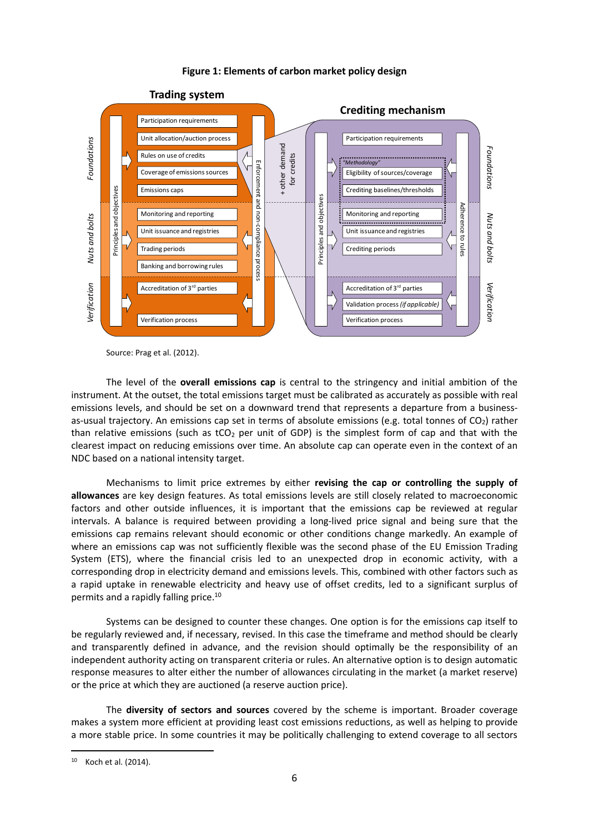## **Figure 1: Elements of carbon market policy design**



Source: Prag et al. (2012).

The level of the **overall emissions cap** is central to the stringency and initial ambition of the instrument. At the outset, the total emissions target must be calibrated as accurately as possible with real emissions levels, and should be set on a downward trend that represents a departure from a businessas-usual trajectory. An emissions cap set in terms of absolute emissions (e.g. total tonnes of  $CO<sub>2</sub>$ ) rather than relative emissions (such as  $tCO<sub>2</sub>$  per unit of GDP) is the simplest form of cap and that with the clearest impact on reducing emissions over time. An absolute cap can operate even in the context of an NDC based on a national intensity target.

Mechanisms to limit price extremes by either **revising the cap or controlling the supply of allowances** are key design features. As total emissions levels are still closely related to macroeconomic factors and other outside influences, it is important that the emissions cap be reviewed at regular intervals. A balance is required between providing a long-lived price signal and being sure that the emissions cap remains relevant should economic or other conditions change markedly. An example of where an emissions cap was not sufficiently flexible was the second phase of the EU Emission Trading System (ETS), where the financial crisis led to an unexpected drop in economic activity, with a corresponding drop in electricity demand and emissions levels. This, combined with other factors such as a rapid uptake in renewable electricity and heavy use of offset credits, led to a significant surplus of permits and a rapidly falling price.<sup>10</sup>

Systems can be designed to counter these changes. One option is for the emissions cap itself to be regularly reviewed and, if necessary, revised. In this case the timeframe and method should be clearly and transparently defined in advance, and the revision should optimally be the responsibility of an independent authority acting on transparent criteria or rules. An alternative option is to design automatic response measures to alter either the number of allowances circulating in the market (a market reserve) or the price at which they are auctioned (a reserve auction price).

The **diversity of sectors and sources** covered by the scheme is important. Broader coverage makes a system more efficient at providing least cost emissions reductions, as well as helping to provide a more stable price. In some countries it may be politically challenging to extend coverage to all sectors

1

<sup>10</sup> Koch et al. (2014).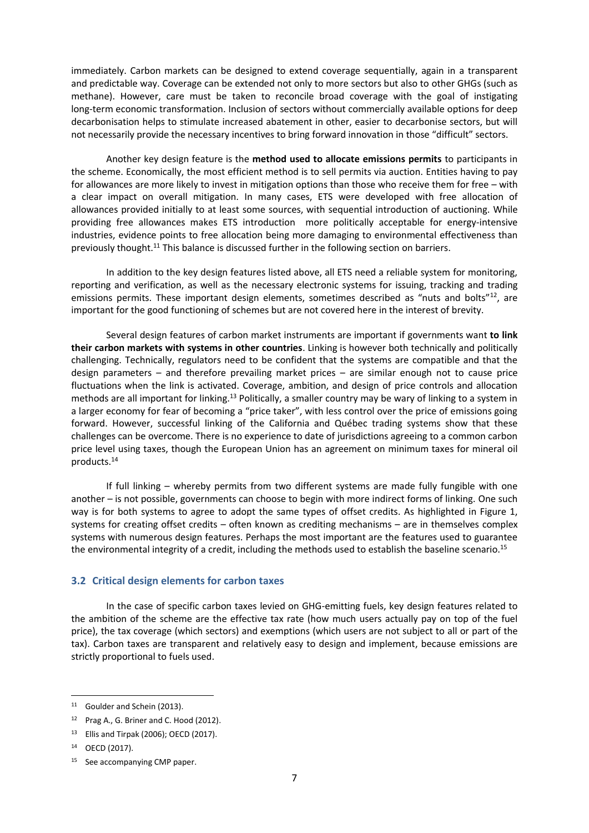immediately. Carbon markets can be designed to extend coverage sequentially, again in a transparent and predictable way. Coverage can be extended not only to more sectors but also to other GHGs (such as methane). However, care must be taken to reconcile broad coverage with the goal of instigating long-term economic transformation. Inclusion of sectors without commercially available options for deep decarbonisation helps to stimulate increased abatement in other, easier to decarbonise sectors, but will not necessarily provide the necessary incentives to bring forward innovation in those "difficult" sectors.

Another key design feature is the **method used to allocate emissions permits** to participants in the scheme. Economically, the most efficient method is to sell permits via auction. Entities having to pay for allowances are more likely to invest in mitigation options than those who receive them for free – with a clear impact on overall mitigation. In many cases, ETS were developed with free allocation of allowances provided initially to at least some sources, with sequential introduction of auctioning. While providing free allowances makes ETS introduction more politically acceptable for energy-intensive industries, evidence points to free allocation being more damaging to environmental effectiveness than previously thought.<sup>11</sup> This balance is discussed further in the following section on barriers.

In addition to the key design features listed above, all ETS need a reliable system for monitoring, reporting and verification, as well as the necessary electronic systems for issuing, tracking and trading emissions permits. These important design elements, sometimes described as "nuts and bolts"<sup>12</sup>, are important for the good functioning of schemes but are not covered here in the interest of brevity.

Several design features of carbon market instruments are important if governments want **to link their carbon markets with systems in other countries**. Linking is however both technically and politically challenging. Technically, regulators need to be confident that the systems are compatible and that the design parameters – and therefore prevailing market prices – are similar enough not to cause price fluctuations when the link is activated. Coverage, ambition, and design of price controls and allocation methods are all important for linking.<sup>13</sup> Politically, a smaller country may be wary of linking to a system in a larger economy for fear of becoming a "price taker", with less control over the price of emissions going forward. However, successful linking of the California and Québec trading systems show that these challenges can be overcome. There is no experience to date of jurisdictions agreeing to a common carbon price level using taxes, though the European Union has an agreement on minimum taxes for mineral oil products.<sup>14</sup>

If full linking – whereby permits from two different systems are made fully fungible with one another – is not possible, governments can choose to begin with more indirect forms of linking. One such way is for both systems to agree to adopt the same types of offset credits. As highlighted in Figure 1, systems for creating offset credits – often known as crediting mechanisms – are in themselves complex systems with numerous design features. Perhaps the most important are the features used to guarantee the environmental integrity of a credit, including the methods used to establish the baseline scenario.<sup>15</sup>

## <span id="page-8-0"></span>**3.2 Critical design elements for carbon taxes**

In the case of specific carbon taxes levied on GHG-emitting fuels, key design features related to the ambition of the scheme are the effective tax rate (how much users actually pay on top of the fuel price), the tax coverage (which sectors) and exemptions (which users are not subject to all or part of the tax). Carbon taxes are transparent and relatively easy to design and implement, because emissions are strictly proportional to fuels used.

<sup>11</sup> Goulder and Schein (2013).

<sup>&</sup>lt;sup>12</sup> Prag A., G. Briner and C. Hood (2012).

<sup>13</sup> Ellis and Tirpak (2006); OECD (2017).

<sup>14</sup> OECD (2017).

<sup>15</sup> See accompanying CMP paper.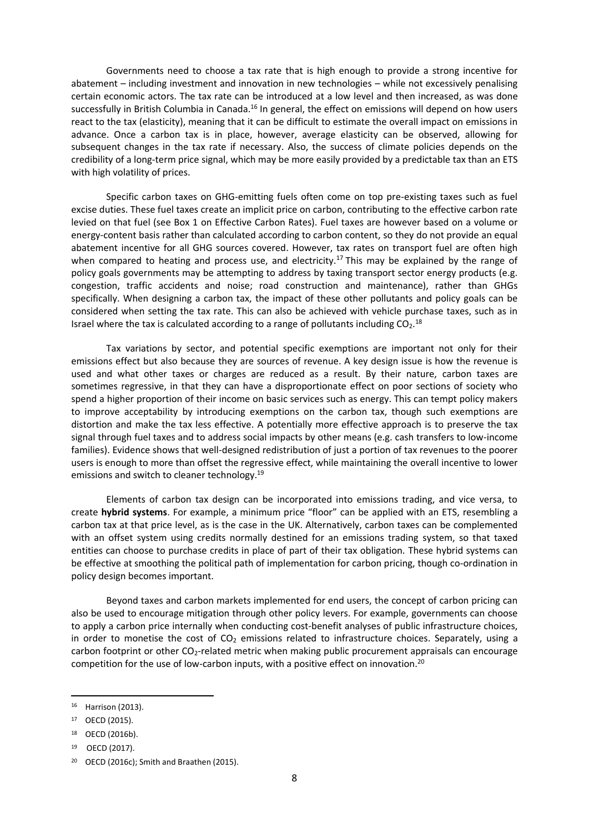Governments need to choose a tax rate that is high enough to provide a strong incentive for abatement – including investment and innovation in new technologies – while not excessively penalising certain economic actors. The tax rate can be introduced at a low level and then increased, as was done successfully in British Columbia in Canada.<sup>16</sup> In general, the effect on emissions will depend on how users react to the tax (elasticity), meaning that it can be difficult to estimate the overall impact on emissions in advance. Once a carbon tax is in place, however, average elasticity can be observed, allowing for subsequent changes in the tax rate if necessary. Also, the success of climate policies depends on the credibility of a long-term price signal, which may be more easily provided by a predictable tax than an ETS with high volatility of prices.

Specific carbon taxes on GHG-emitting fuels often come on top pre-existing taxes such as fuel excise duties. These fuel taxes create an implicit price on carbon, contributing to the effective carbon rate levied on that fuel (see Box 1 on Effective Carbon Rates). Fuel taxes are however based on a volume or energy-content basis rather than calculated according to carbon content, so they do not provide an equal abatement incentive for all GHG sources covered. However, tax rates on transport fuel are often high when compared to heating and process use, and electricity.<sup>17</sup> This may be explained by the range of policy goals governments may be attempting to address by taxing transport sector energy products (e.g. congestion, traffic accidents and noise; road construction and maintenance), rather than GHGs specifically. When designing a carbon tax, the impact of these other pollutants and policy goals can be considered when setting the tax rate. This can also be achieved with vehicle purchase taxes, such as in Israel where the tax is calculated according to a range of pollutants including  $CO<sub>2</sub>$ .<sup>18</sup>

Tax variations by sector, and potential specific exemptions are important not only for their emissions effect but also because they are sources of revenue. A key design issue is how the revenue is used and what other taxes or charges are reduced as a result. By their nature, carbon taxes are sometimes regressive, in that they can have a disproportionate effect on poor sections of society who spend a higher proportion of their income on basic services such as energy. This can tempt policy makers to improve acceptability by introducing exemptions on the carbon tax, though such exemptions are distortion and make the tax less effective. A potentially more effective approach is to preserve the tax signal through fuel taxes and to address social impacts by other means (e.g. cash transfers to low-income families). Evidence shows that well-designed redistribution of just a portion of tax revenues to the poorer users is enough to more than offset the regressive effect, while maintaining the overall incentive to lower emissions and switch to cleaner technology.<sup>19</sup>

Elements of carbon tax design can be incorporated into emissions trading, and vice versa, to create **hybrid systems**. For example, a minimum price "floor" can be applied with an ETS, resembling a carbon tax at that price level, as is the case in the UK. Alternatively, carbon taxes can be complemented with an offset system using credits normally destined for an emissions trading system, so that taxed entities can choose to purchase credits in place of part of their tax obligation. These hybrid systems can be effective at smoothing the political path of implementation for carbon pricing, though co-ordination in policy design becomes important.

Beyond taxes and carbon markets implemented for end users, the concept of carbon pricing can also be used to encourage mitigation through other policy levers. For example, governments can choose to apply a carbon price internally when conducting cost-benefit analyses of public infrastructure choices, in order to monetise the cost of  $CO<sub>2</sub>$  emissions related to infrastructure choices. Separately, using a carbon footprint or other CO<sub>2</sub>-related metric when making public procurement appraisals can encourage competition for the use of low-carbon inputs, with a positive effect on innovation. 20

1

<sup>16</sup> Harrison (2013).

<sup>17</sup> OECD (2015).

<sup>18</sup> OECD (2016b).

<sup>19</sup> OECD (2017).

<sup>&</sup>lt;sup>20</sup> OECD (2016c); Smith and Braathen (2015).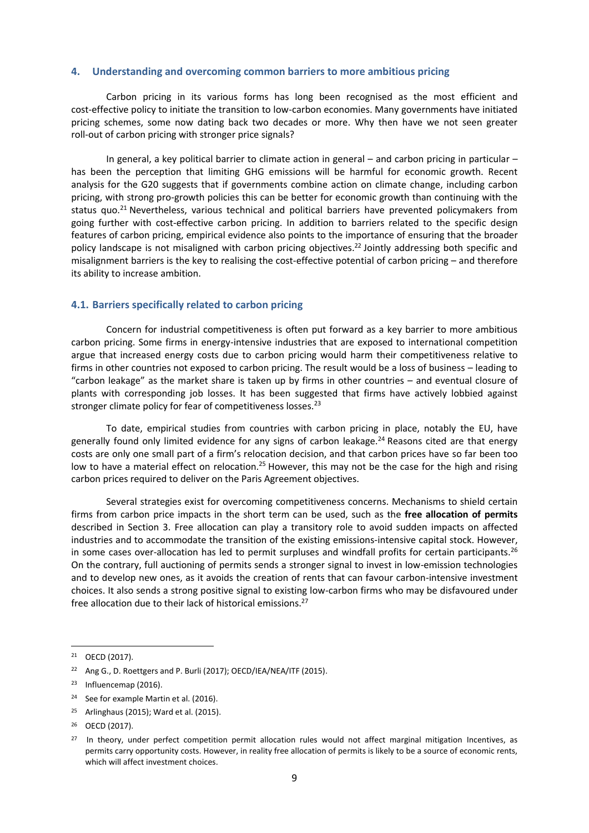#### <span id="page-10-0"></span>**4. Understanding and overcoming common barriers to more ambitious pricing**

Carbon pricing in its various forms has long been recognised as the most efficient and cost-effective policy to initiate the transition to low-carbon economies. Many governments have initiated pricing schemes, some now dating back two decades or more. Why then have we not seen greater roll-out of carbon pricing with stronger price signals?

In general, a key political barrier to climate action in general – and carbon pricing in particular – has been the perception that limiting GHG emissions will be harmful for economic growth. Recent analysis for the G20 suggests that if governments combine action on climate change, including carbon pricing, with strong pro-growth policies this can be better for economic growth than continuing with the status quo.<sup>21</sup> Nevertheless, various technical and political barriers have prevented policymakers from going further with cost-effective carbon pricing. In addition to barriers related to the specific design features of carbon pricing, empirical evidence also points to the importance of ensuring that the broader policy landscape is not misaligned with carbon pricing objectives.<sup>22</sup> Jointly addressing both specific and misalignment barriers is the key to realising the cost-effective potential of carbon pricing – and therefore its ability to increase ambition.

## <span id="page-10-1"></span>**4.1. Barriers specifically related to carbon pricing**

Concern for industrial competitiveness is often put forward as a key barrier to more ambitious carbon pricing. Some firms in energy-intensive industries that are exposed to international competition argue that increased energy costs due to carbon pricing would harm their competitiveness relative to firms in other countries not exposed to carbon pricing. The result would be a loss of business – leading to "carbon leakage" as the market share is taken up by firms in other countries – and eventual closure of plants with corresponding job losses. It has been suggested that firms have actively lobbied against stronger climate policy for fear of competitiveness losses.<sup>23</sup>

To date, empirical studies from countries with carbon pricing in place, notably the EU, have generally found only limited evidence for any signs of carbon leakage.<sup>24</sup> Reasons cited are that energy costs are only one small part of a firm's relocation decision, and that carbon prices have so far been too low to have a material effect on relocation.<sup>25</sup> However, this may not be the case for the high and rising carbon prices required to deliver on the Paris Agreement objectives.

Several strategies exist for overcoming competitiveness concerns. Mechanisms to shield certain firms from carbon price impacts in the short term can be used, such as the **free allocation of permits** described in Section 3. Free allocation can play a transitory role to avoid sudden impacts on affected industries and to accommodate the transition of the existing emissions-intensive capital stock. However, in some cases over-allocation has led to permit surpluses and windfall profits for certain participants.<sup>26</sup> On the contrary, full auctioning of permits sends a stronger signal to invest in low-emission technologies and to develop new ones, as it avoids the creation of rents that can favour carbon-intensive investment choices. It also sends a strong positive signal to existing low-carbon firms who may be disfavoured under free allocation due to their lack of historical emissions.<sup>27</sup>

**.** 

<sup>24</sup> See for example Martin et al. (2016).

<sup>21</sup> OECD (2017).

<sup>&</sup>lt;sup>22</sup> Ang G., D. Roettgers and P. Burli (2017); OECD/IEA/NEA/ITF (2015).

<sup>&</sup>lt;sup>23</sup> Influencemap (2016).

<sup>25</sup> Arlinghaus (2015); Ward et al. (2015).

<sup>26</sup> OECD (2017).

<sup>&</sup>lt;sup>27</sup> In theory, under perfect competition permit allocation rules would not affect marginal mitigation Incentives, as permits carry opportunity costs. However, in reality free allocation of permits is likely to be a source of economic rents, which will affect investment choices.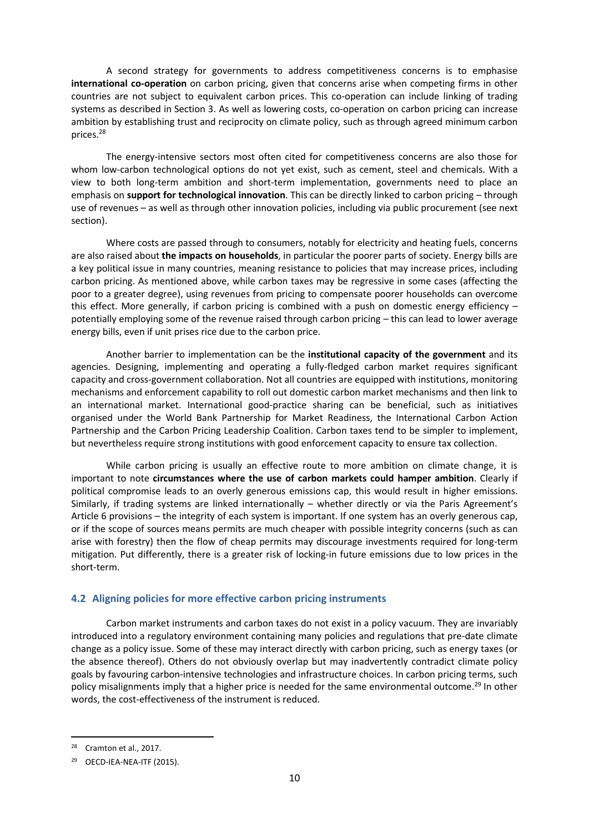A second strategy for governments to address competitiveness concerns is to emphasise **international co-operation** on carbon pricing, given that concerns arise when competing firms in other countries are not subject to equivalent carbon prices. This co-operation can include linking of trading systems as described in Section 3. As well as lowering costs, co-operation on carbon pricing can increase ambition by establishing trust and reciprocity on climate policy, such as through agreed minimum carbon prices.<sup>28</sup>

The energy-intensive sectors most often cited for competitiveness concerns are also those for whom low-carbon technological options do not yet exist, such as cement, steel and chemicals. With a view to both long-term ambition and short-term implementation, governments need to place an emphasis on **support for technological innovation**. This can be directly linked to carbon pricing – through use of revenues – as well as through other innovation policies, including via public procurement (see next section).

Where costs are passed through to consumers, notably for electricity and heating fuels, concerns are also raised about **the impacts on households**, in particular the poorer parts of society. Energy bills are a key political issue in many countries, meaning resistance to policies that may increase prices, including carbon pricing. As mentioned above, while carbon taxes may be regressive in some cases (affecting the poor to a greater degree), using revenues from pricing to compensate poorer households can overcome this effect. More generally, if carbon pricing is combined with a push on domestic energy efficiency – potentially employing some of the revenue raised through carbon pricing – this can lead to lower average energy bills, even if unit prises rice due to the carbon price.

Another barrier to implementation can be the **institutional capacity of the government** and its agencies. Designing, implementing and operating a fully-fledged carbon market requires significant capacity and cross-government collaboration. Not all countries are equipped with institutions, monitoring mechanisms and enforcement capability to roll out domestic carbon market mechanisms and then link to an international market. International good-practice sharing can be beneficial, such as initiatives organised under the World Bank Partnership for Market Readiness, the International Carbon Action Partnership and the Carbon Pricing Leadership Coalition. Carbon taxes tend to be simpler to implement, but nevertheless require strong institutions with good enforcement capacity to ensure tax collection.

While carbon pricing is usually an effective route to more ambition on climate change, it is important to note **circumstances where the use of carbon markets could hamper ambition**. Clearly if political compromise leads to an overly generous emissions cap, this would result in higher emissions. Similarly, if trading systems are linked internationally – whether directly or via the Paris Agreement's Article 6 provisions – the integrity of each system is important. If one system has an overly generous cap, or if the scope of sources means permits are much cheaper with possible integrity concerns (such as can arise with forestry) then the flow of cheap permits may discourage investments required for long-term mitigation. Put differently, there is a greater risk of locking-in future emissions due to low prices in the short-term.

## <span id="page-11-0"></span>**4.2 Aligning policies for more effective carbon pricing instruments**

Carbon market instruments and carbon taxes do not exist in a policy vacuum. They are invariably introduced into a regulatory environment containing many policies and regulations that pre-date climate change as a policy issue. Some of these may interact directly with carbon pricing, such as energy taxes (or the absence thereof). Others do not obviously overlap but may inadvertently contradict climate policy goals by favouring carbon-intensive technologies and infrastructure choices. In carbon pricing terms, such policy misalignments imply that a higher price is needed for the same environmental outcome.<sup>29</sup> In other words, the cost-effectiveness of the instrument is reduced.

<sup>28</sup> Cramton et al., 2017.

<sup>29</sup> OECD-IEA-NEA-ITF (2015).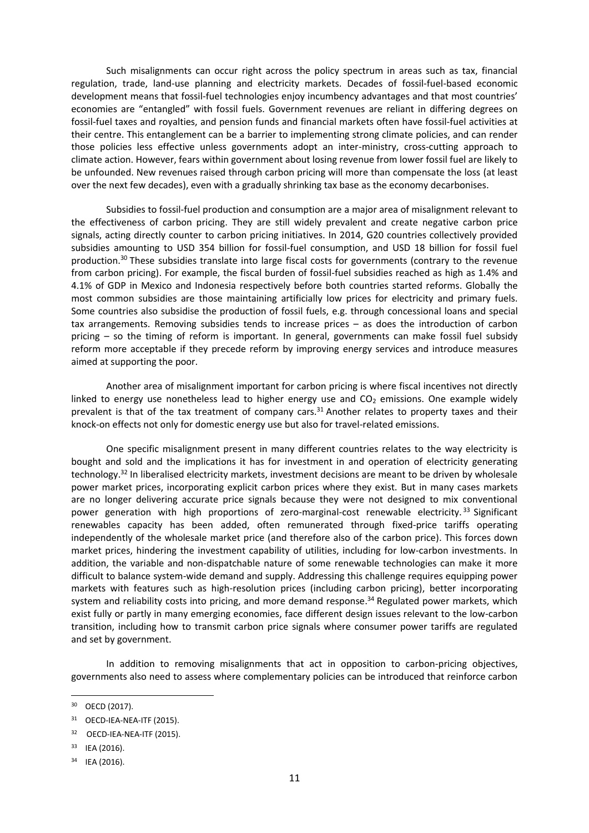Such misalignments can occur right across the policy spectrum in areas such as tax, financial regulation, trade, land-use planning and electricity markets. Decades of fossil-fuel-based economic development means that fossil-fuel technologies enjoy incumbency advantages and that most countries' economies are "entangled" with fossil fuels. Government revenues are reliant in differing degrees on fossil-fuel taxes and royalties, and pension funds and financial markets often have fossil-fuel activities at their centre. This entanglement can be a barrier to implementing strong climate policies, and can render those policies less effective unless governments adopt an inter-ministry, cross-cutting approach to climate action. However, fears within government about losing revenue from lower fossil fuel are likely to be unfounded. New revenues raised through carbon pricing will more than compensate the loss (at least over the next few decades), even with a gradually shrinking tax base as the economy decarbonises.

Subsidies to fossil-fuel production and consumption are a major area of misalignment relevant to the effectiveness of carbon pricing. They are still widely prevalent and create negative carbon price signals, acting directly counter to carbon pricing initiatives. In 2014, G20 countries collectively provided subsidies amounting to USD 354 billion for fossil-fuel consumption, and USD 18 billion for fossil fuel production.<sup>30</sup> These subsidies translate into large fiscal costs for governments (contrary to the revenue from carbon pricing). For example, the fiscal burden of fossil-fuel subsidies reached as high as 1.4% and 4.1% of GDP in Mexico and Indonesia respectively before both countries started reforms. Globally the most common subsidies are those maintaining artificially low prices for electricity and primary fuels. Some countries also subsidise the production of fossil fuels, e.g. through concessional loans and special tax arrangements. Removing subsidies tends to increase prices – as does the introduction of carbon pricing – so the timing of reform is important. In general, governments can make fossil fuel subsidy reform more acceptable if they precede reform by improving energy services and introduce measures aimed at supporting the poor.

Another area of misalignment important for carbon pricing is where fiscal incentives not directly linked to energy use nonetheless lead to higher energy use and  $CO<sub>2</sub>$  emissions. One example widely prevalent is that of the tax treatment of company cars.<sup>31</sup> Another relates to property taxes and their knock-on effects not only for domestic energy use but also for travel-related emissions.

One specific misalignment present in many different countries relates to the way electricity is bought and sold and the implications it has for investment in and operation of electricity generating technology. <sup>32</sup> In liberalised electricity markets, investment decisions are meant to be driven by wholesale power market prices, incorporating explicit carbon prices where they exist. But in many cases markets are no longer delivering accurate price signals because they were not designed to mix conventional power generation with high proportions of zero-marginal-cost renewable electricity.<sup>33</sup> Significant renewables capacity has been added, often remunerated through fixed-price tariffs operating independently of the wholesale market price (and therefore also of the carbon price). This forces down market prices, hindering the investment capability of utilities, including for low-carbon investments. In addition, the variable and non-dispatchable nature of some renewable technologies can make it more difficult to balance system-wide demand and supply. Addressing this challenge requires equipping power markets with features such as high-resolution prices (including carbon pricing), better incorporating system and reliability costs into pricing, and more demand response.<sup>34</sup> Regulated power markets, which exist fully or partly in many emerging economies, face different design issues relevant to the low-carbon transition, including how to transmit carbon price signals where consumer power tariffs are regulated and set by government.

In addition to removing misalignments that act in opposition to carbon-pricing objectives, governments also need to assess where complementary policies can be introduced that reinforce carbon

<sup>30</sup> OECD (2017).

<sup>31</sup> OECD-IEA-NEA-ITF (2015).

<sup>32</sup> OECD-IEA-NEA-ITF (2015).

<sup>33</sup> IEA (2016).

<sup>34</sup> IEA (2016).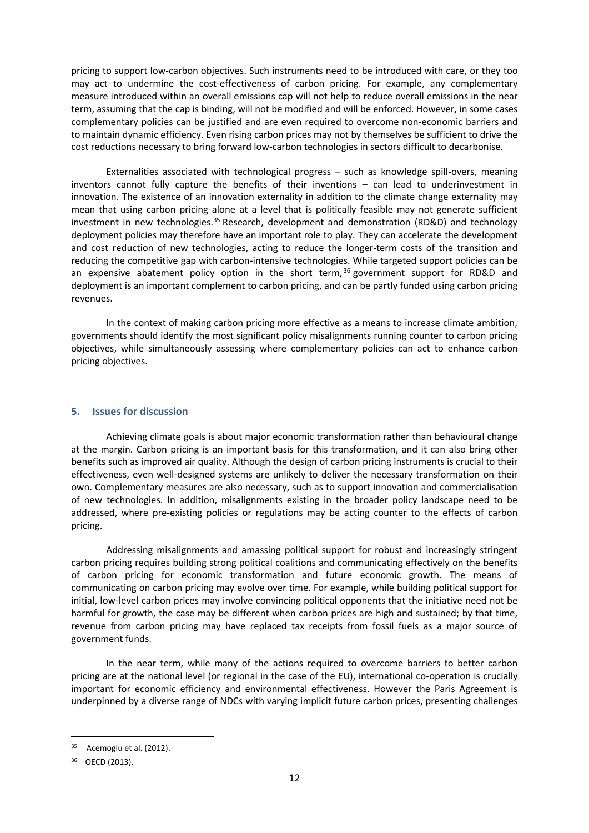pricing to support low-carbon objectives. Such instruments need to be introduced with care, or they too may act to undermine the cost-effectiveness of carbon pricing. For example, any complementary measure introduced within an overall emissions cap will not help to reduce overall emissions in the near term, assuming that the cap is binding, will not be modified and will be enforced. However, in some cases complementary policies can be justified and are even required to overcome non-economic barriers and to maintain dynamic efficiency. Even rising carbon prices may not by themselves be sufficient to drive the cost reductions necessary to bring forward low-carbon technologies in sectors difficult to decarbonise.

Externalities associated with technological progress – such as knowledge spill-overs, meaning inventors cannot fully capture the benefits of their inventions – can lead to underinvestment in innovation. The existence of an innovation externality in addition to the climate change externality may mean that using carbon pricing alone at a level that is politically feasible may not generate sufficient investment in new technologies.<sup>35</sup> Research, development and demonstration (RD&D) and technology deployment policies may therefore have an important role to play. They can accelerate the development and cost reduction of new technologies, acting to reduce the longer-term costs of the transition and reducing the competitive gap with carbon-intensive technologies. While targeted support policies can be an expensive abatement policy option in the short term,  $36$  government support for RD&D and deployment is an important complement to carbon pricing, and can be partly funded using carbon pricing revenues.

In the context of making carbon pricing more effective as a means to increase climate ambition, governments should identify the most significant policy misalignments running counter to carbon pricing objectives, while simultaneously assessing where complementary policies can act to enhance carbon pricing objectives.

## <span id="page-13-0"></span>**5. Issues for discussion**

Achieving climate goals is about major economic transformation rather than behavioural change at the margin. Carbon pricing is an important basis for this transformation, and it can also bring other benefits such as improved air quality. Although the design of carbon pricing instruments is crucial to their effectiveness, even well-designed systems are unlikely to deliver the necessary transformation on their own. Complementary measures are also necessary, such as to support innovation and commercialisation of new technologies. In addition, misalignments existing in the broader policy landscape need to be addressed, where pre-existing policies or regulations may be acting counter to the effects of carbon pricing.

Addressing misalignments and amassing political support for robust and increasingly stringent carbon pricing requires building strong political coalitions and communicating effectively on the benefits of carbon pricing for economic transformation and future economic growth. The means of communicating on carbon pricing may evolve over time. For example, while building political support for initial, low-level carbon prices may involve convincing political opponents that the initiative need not be harmful for growth, the case may be different when carbon prices are high and sustained; by that time, revenue from carbon pricing may have replaced tax receipts from fossil fuels as a major source of government funds.

In the near term, while many of the actions required to overcome barriers to better carbon pricing are at the national level (or regional in the case of the EU), international co-operation is crucially important for economic efficiency and environmental effectiveness. However the Paris Agreement is underpinned by a diverse range of NDCs with varying implicit future carbon prices, presenting challenges

<sup>35</sup> Acemoglu et al. (2012).

<sup>36</sup> OECD (2013).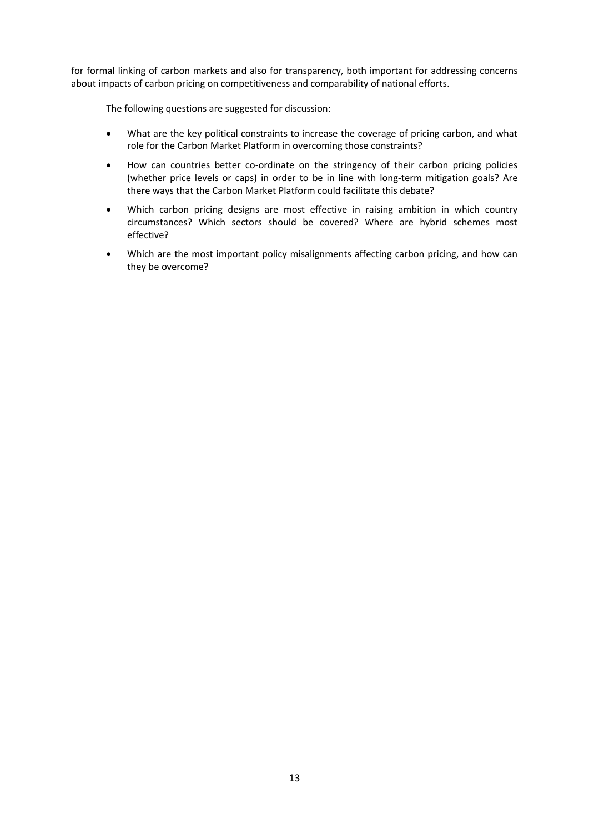for formal linking of carbon markets and also for transparency, both important for addressing concerns about impacts of carbon pricing on competitiveness and comparability of national efforts.

The following questions are suggested for discussion:

- What are the key political constraints to increase the coverage of pricing carbon, and what role for the Carbon Market Platform in overcoming those constraints?
- How can countries better co-ordinate on the stringency of their carbon pricing policies (whether price levels or caps) in order to be in line with long-term mitigation goals? Are there ways that the Carbon Market Platform could facilitate this debate?
- Which carbon pricing designs are most effective in raising ambition in which country circumstances? Which sectors should be covered? Where are hybrid schemes most effective?
- Which are the most important policy misalignments affecting carbon pricing, and how can they be overcome?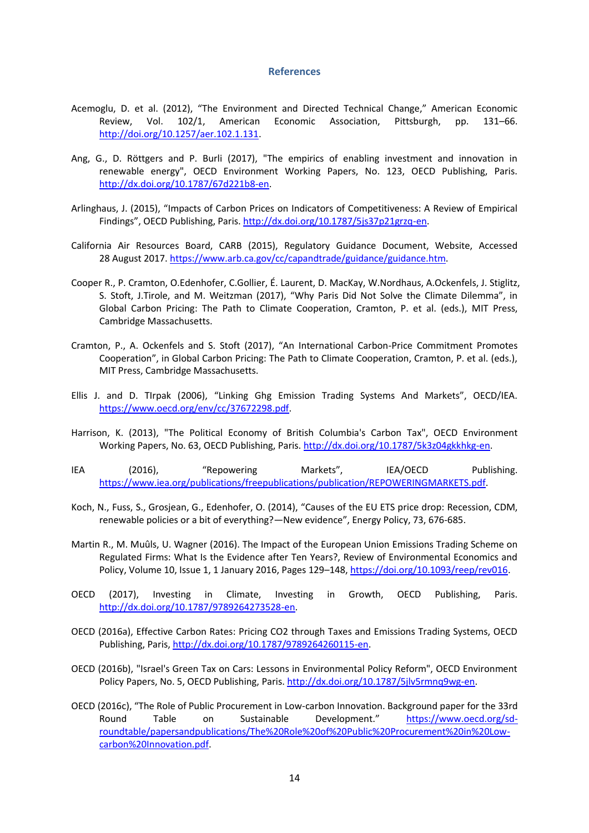#### **References**

- <span id="page-15-0"></span>Acemoglu, D. et al. (2012), "The Environment and Directed Technical Change," American Economic Review, Vol. 102/1, American Economic Association, Pittsburgh, pp. 131–66. [http://doi.org/10.1257/aer.102.1.131.](http://doi.org/10.1257/aer.102.1.131)
- Ang, G., D. Röttgers and P. Burli (2017), "The empirics of enabling investment and innovation in renewable energy", OECD Environment Working Papers, No. 123, OECD Publishing, Paris. [http://dx.doi.org/10.1787/67d221b8-en.](http://dx.doi.org/10.1787/67d221b8-en)
- Arlinghaus, J. (2015), "Impacts of Carbon Prices on Indicators of Competitiveness: A Review of Empirical Findings", OECD Publishing, Paris. [http://dx.doi.org/10.1787/5js37p21grzq-en.](http://dx.doi.org/10.1787/5js37p21grzq-en)
- California Air Resources Board, CARB (2015), Regulatory Guidance Document, Website, Accessed 28 August 2017[. https://www.arb.ca.gov/cc/capandtrade/guidance/guidance.htm.](https://www.arb.ca.gov/cc/capandtrade/guidance/guidance.htm)
- Cooper R., P. Cramton, O.Edenhofer, C.Gollier, É. Laurent, D. MacKay, W.Nordhaus, A.Ockenfels, J. Stiglitz, S. Stoft, J.Tirole, and M. Weitzman (2017), "Why Paris Did Not Solve the Climate Dilemma", in Global Carbon Pricing: The Path to Climate Cooperation, Cramton, P. et al. (eds.), MIT Press, Cambridge Massachusetts.
- Cramton, P., A. Ockenfels and S. Stoft (2017), "An International Carbon-Price Commitment Promotes Cooperation", in Global Carbon Pricing: The Path to Climate Cooperation, Cramton, P. et al. (eds.), MIT Press, Cambridge Massachusetts.
- Ellis J. and D. TIrpak (2006), "Linking Ghg Emission Trading Systems And Markets", OECD/IEA. [https://www.oecd.org/env/cc/37672298.pdf.](https://www.oecd.org/env/cc/37672298.pdf)
- Harrison, K. (2013), "The Political Economy of British Columbia's Carbon Tax", OECD Environment Working Papers, No. 63, OECD Publishing, Paris. [http://dx.doi.org/10.1787/5k3z04gkkhkg-en.](http://dx.doi.org/10.1787/5k3z04gkkhkg-en)
- IEA (2016), "Repowering Markets", IEA/OECD Publishing. [https://www.iea.org/publications/freepublications/publication/REPOWERINGMARKETS.pdf.](https://www.iea.org/publications/freepublications/publication/REPOWERINGMARKETS.pdf)
- Koch, N., Fuss, S., Grosjean, G., Edenhofer, O. (2014), "Causes of the EU ETS price drop: Recession, CDM, renewable policies or a bit of everything?—New evidence", Energy Policy, 73, 676-685.
- Martin R., M. Muûls, U. Wagner (2016). The Impact of the European Union Emissions Trading Scheme on Regulated Firms: What Is the Evidence after Ten Years?, Review of Environmental Economics and Policy, Volume 10, Issue 1, 1 January 2016, Pages 129–148, [https://doi.org/10.1093/reep/rev016.](https://doi.org/10.1093/reep/rev016)
- OECD (2017), Investing in Climate, Investing in Growth, OECD Publishing, Paris. [http://dx.doi.org/10.1787/9789264273528-en.](http://dx.doi.org/10.1787/9789264273528-en)
- OECD (2016a), Effective Carbon Rates: Pricing CO2 through Taxes and Emissions Trading Systems, OECD Publishing, Paris[, http://dx.doi.org/10.1787/9789264260115-en.](http://dx.doi.org/10.1787/9789264260115-en)
- OECD (2016b), "Israel's Green Tax on Cars: Lessons in Environmental Policy Reform", OECD Environment Policy Papers, No. 5, OECD Publishing, Paris. [http://dx.doi.org/10.1787/5jlv5rmnq9wg-en.](http://dx.doi.org/10.1787/5jlv5rmnq9wg-en)
- OECD (2016c), "The Role of Public Procurement in Low-carbon Innovation. Background paper for the 33rd Round Table on Sustainable Development." [https://www.oecd.org/sd](https://www.oecd.org/sd-roundtable/papersandpublications/The%20Role%20of%20Public%20Procurement%20in%20Low-carbon%20Innovation.pdf)[roundtable/papersandpublications/The%20Role%20of%20Public%20Procurement%20in%20Low](https://www.oecd.org/sd-roundtable/papersandpublications/The%20Role%20of%20Public%20Procurement%20in%20Low-carbon%20Innovation.pdf)[carbon%20Innovation.pdf.](https://www.oecd.org/sd-roundtable/papersandpublications/The%20Role%20of%20Public%20Procurement%20in%20Low-carbon%20Innovation.pdf)